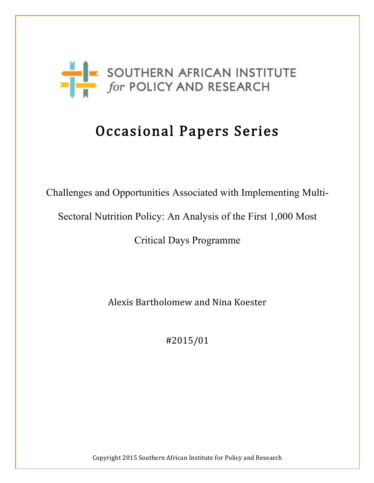

# Occasional Papers Series

Challenges and Opportunities Associated with Implementing Multi-

Sectoral Nutrition Policy: An Analysis of the First 1,000 Most

Critical Days Programme

Alexis Bartholomew and Nina Koester

#2015/01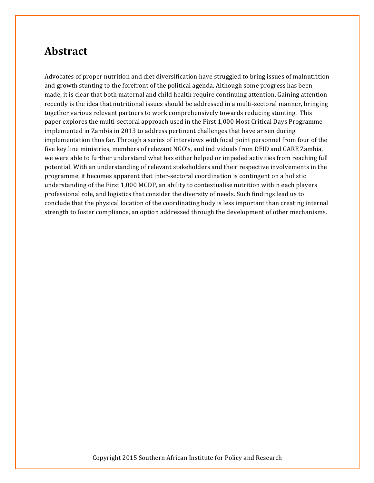# **Abstract**

Advocates of proper nutrition and diet diversification have struggled to bring issues of malnutrition and growth stunting to the forefront of the political agenda. Although some progress has been made, it is clear that both maternal and child health require continuing attention. Gaining attention recently is the idea that nutritional issues should be addressed in a multi-sectoral manner, bringing together various relevant partners to work comprehensively towards reducing stunting. This paper explores the multi-sectoral approach used in the First 1,000 Most Critical Days Programme implemented in Zambia in 2013 to address pertinent challenges that have arisen during implementation thus far. Through a series of interviews with focal point personnel from four of the five key line ministries, members of relevant NGO's, and individuals from DFID and CARE Zambia, we were able to further understand what has either helped or impeded activities from reaching full potential. With an understanding of relevant stakeholders and their respective involvements in the programme, it becomes apparent that inter-sectoral coordination is contingent on a holistic understanding of the First 1,000 MCDP, an ability to contextualise nutrition within each players professional role, and logistics that consider the diversity of needs. Such findings lead us to conclude that the physical location of the coordinating body is less important than creating internal strength to foster compliance, an option addressed through the development of other mechanisms.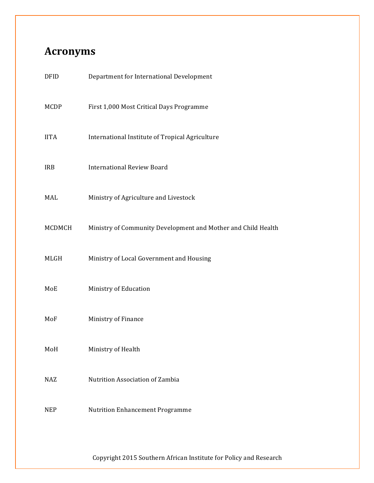# **Acronyms**

| Department for International Development                      |
|---------------------------------------------------------------|
| First 1,000 Most Critical Days Programme                      |
| International Institute of Tropical Agriculture               |
| <b>International Review Board</b>                             |
| Ministry of Agriculture and Livestock                         |
| Ministry of Community Development and Mother and Child Health |
| Ministry of Local Government and Housing                      |
| Ministry of Education                                         |
| Ministry of Finance                                           |
| Ministry of Health                                            |
| Nutrition Association of Zambia                               |
| <b>Nutrition Enhancement Programme</b>                        |
|                                                               |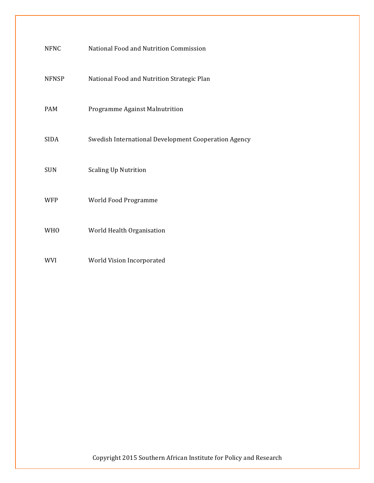| <b>NFNC</b>  | National Food and Nutrition Commission               |
|--------------|------------------------------------------------------|
| <b>NFNSP</b> | National Food and Nutrition Strategic Plan           |
| <b>PAM</b>   | Programme Against Malnutrition                       |
| <b>SIDA</b>  | Swedish International Development Cooperation Agency |
| <b>SUN</b>   | <b>Scaling Up Nutrition</b>                          |
| <b>WFP</b>   | World Food Programme                                 |
| <b>WHO</b>   | World Health Organisation                            |
| <b>WVI</b>   | World Vision Incorporated                            |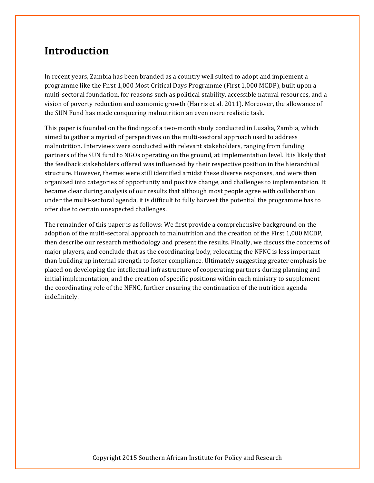# **Introduction**

In recent years, Zambia has been branded as a country well suited to adopt and implement a programme like the First 1,000 Most Critical Days Programme (First 1,000 MCDP), built upon a multi-sectoral foundation, for reasons such as political stability, accessible natural resources, and a vision of poverty reduction and economic growth (Harris et al. 2011). Moreover, the allowance of the SUN Fund has made conquering malnutrition an even more realistic task.

This paper is founded on the findings of a two-month study conducted in Lusaka, Zambia, which aimed to gather a myriad of perspectives on the multi-sectoral approach used to address malnutrition. Interviews were conducted with relevant stakeholders, ranging from funding partners of the SUN fund to NGOs operating on the ground, at implementation level. It is likely that the feedback stakeholders offered was influenced by their respective position in the hierarchical structure. However, themes were still identified amidst these diverse responses, and were then organized into categories of opportunity and positive change, and challenges to implementation. It became clear during analysis of our results that although most people agree with collaboration under the multi-sectoral agenda, it is difficult to fully harvest the potential the programme has to offer due to certain unexpected challenges.

The remainder of this paper is as follows: We first provide a comprehensive background on the adoption of the multi-sectoral approach to malnutrition and the creation of the First 1,000 MCDP, then describe our research methodology and present the results. Finally, we discuss the concerns of major players, and conclude that as the coordinating body, relocating the NFNC is less important than building up internal strength to foster compliance. Ultimately suggesting greater emphasis be placed on developing the intellectual infrastructure of cooperating partners during planning and initial implementation, and the creation of specific positions within each ministry to supplement the coordinating role of the NFNC, further ensuring the continuation of the nutrition agenda indefinitely.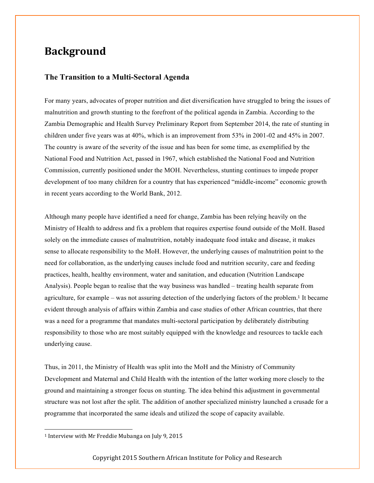# **Background**

#### **The Transition to a Multi-Sectoral Agenda**

For many years, advocates of proper nutrition and diet diversification have struggled to bring the issues of malnutrition and growth stunting to the forefront of the political agenda in Zambia. According to the Zambia Demographic and Health Survey Preliminary Report from September 2014, the rate of stunting in children under five years was at 40%, which is an improvement from 53% in 2001-02 and 45% in 2007. The country is aware of the severity of the issue and has been for some time, as exemplified by the National Food and Nutrition Act, passed in 1967, which established the National Food and Nutrition Commission, currently positioned under the MOH. Nevertheless, stunting continues to impede proper development of too many children for a country that has experienced "middle-income" economic growth in recent years according to the World Bank, 2012.

Although many people have identified a need for change, Zambia has been relying heavily on the Ministry of Health to address and fix a problem that requires expertise found outside of the MoH. Based solely on the immediate causes of malnutrition, notably inadequate food intake and disease, it makes sense to allocate responsibility to the MoH. However, the underlying causes of malnutrition point to the need for collaboration, as the underlying causes include food and nutrition security, care and feeding practices, health, healthy environment, water and sanitation, and education (Nutrition Landscape Analysis). People began to realise that the way business was handled – treating health separate from agriculture, for example – was not assuring detection of the underlying factors of the problem.<sup>1</sup> It became evident through analysis of affairs within Zambia and case studies of other African countries, that there was a need for a programme that mandates multi-sectoral participation by deliberately distributing responsibility to those who are most suitably equipped with the knowledge and resources to tackle each underlying cause.

Thus, in 2011, the Ministry of Health was split into the MoH and the Ministry of Community Development and Maternal and Child Health with the intention of the latter working more closely to the ground and maintaining a stronger focus on stunting. The idea behind this adjustment in governmental structure was not lost after the split. The addition of another specialized ministry launched a crusade for a programme that incorporated the same ideals and utilized the scope of capacity available.

 

<sup>&</sup>lt;sup>1</sup> Interview with Mr Freddie Mubanga on July 9, 2015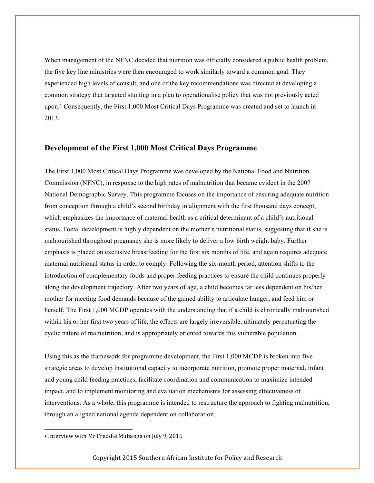When management of the NFNC decided that nutrition was officially considered a public health problem, the five key line ministries were then encouraged to work similarly toward a common goal. They experienced high levels of consult, and one of the key recommendations was directed at developing a common strategy that targeted stunting in a plan to operationalise policy that was not previously acted upon.<sup>2</sup> Consequently, the First 1,000 Most Critical Days Programme was created and set to launch in 2013.

#### **Development of the First 1,000 Most Critical Days Programme**

The First 1,000 Most Critical Days Programme was developed by the National Food and Nutrition Commission (NFNC), in response to the high rates of malnutrition that became evident in the 2007 National Demographic Survey. This programme focuses on the importance of ensuring adequate nutrition from conception through a child's second birthday in alignment with the first thousand days concept, which emphasizes the importance of maternal health as a critical determinant of a child's nutritional status. Foetal development is highly dependent on the mother's nutritional status, suggesting that if she is malnourished throughout pregnancy she is more likely to deliver a low birth weight baby. Further emphasis is placed on exclusive breastfeeding for the first six months of life, and again requires adequate maternal nutritional status in order to comply. Following the six-month period, attention shifts to the introduction of complementary foods and proper feeding practices to ensure the child continues properly along the development trajectory. After two years of age, a child becomes far less dependent on his/her mother for meeting food demands because of the gained ability to articulate hunger, and feed him or herself. The First 1,000 MCDP operates with the understanding that if a child is chronically malnourished within his or her first two years of life, the effects are largely irreversible, ultimately perpetuating the cyclic nature of malnutrition, and is appropriately oriented towards this vulnerable population.

Using this as the framework for programme development, the First 1,000 MCDP is broken into five strategic areas to develop institutional capacity to incorporate nutrition, promote proper maternal, infant and young child feeding practices, facilitate coordination and communication to maximize intended impact, and to implement monitoring and evaluation mechanisms for assessing effectiveness of interventions. As a whole, this programme is intended to restructure the approach to fighting malnutrition, through an aligned national agenda dependent on collaboration.

 

<sup>&</sup>lt;sup>2</sup> Interview with Mr Freddie Mubanga on July 9, 2015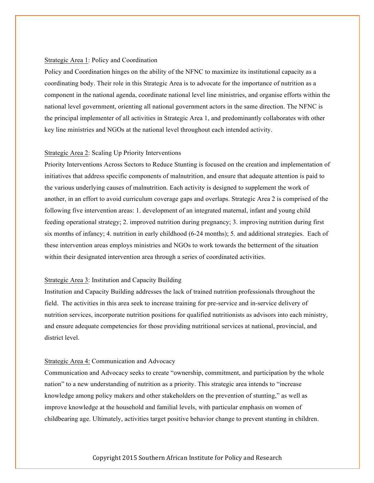#### Strategic Area 1: Policy and Coordination

Policy and Coordination hinges on the ability of the NFNC to maximize its institutional capacity as a coordinating body. Their role in this Strategic Area is to advocate for the importance of nutrition as a component in the national agenda, coordinate national level line ministries, and organise efforts within the national level government, orienting all national government actors in the same direction. The NFNC is the principal implementer of all activities in Strategic Area 1, and predominantly collaborates with other key line ministries and NGOs at the national level throughout each intended activity.

#### Strategic Area 2: Scaling Up Priority Interventions

Priority Interventions Across Sectors to Reduce Stunting is focused on the creation and implementation of initiatives that address specific components of malnutrition, and ensure that adequate attention is paid to the various underlying causes of malnutrition. Each activity is designed to supplement the work of another, in an effort to avoid curriculum coverage gaps and overlaps. Strategic Area 2 is comprised of the following five intervention areas: 1. development of an integrated maternal, infant and young child feeding operational strategy; 2. improved nutrition during pregnancy; 3. improving nutrition during first six months of infancy; 4. nutrition in early childhood (6-24 months); 5. and additional strategies. Each of these intervention areas employs ministries and NGOs to work towards the betterment of the situation within their designated intervention area through a series of coordinated activities.

#### Strategic Area 3: Institution and Capacity Building

Institution and Capacity Building addresses the lack of trained nutrition professionals throughout the field. The activities in this area seek to increase training for pre-service and in-service delivery of nutrition services, incorporate nutrition positions for qualified nutritionists as advisors into each ministry, and ensure adequate competencies for those providing nutritional services at national, provincial, and district level.

#### Strategic Area 4: Communication and Advocacy

Communication and Advocacy seeks to create "ownership, commitment, and participation by the whole nation" to a new understanding of nutrition as a priority. This strategic area intends to "increase knowledge among policy makers and other stakeholders on the prevention of stunting," as well as improve knowledge at the household and familial levels, with particular emphasis on women of childbearing age. Ultimately, activities target positive behavior change to prevent stunting in children.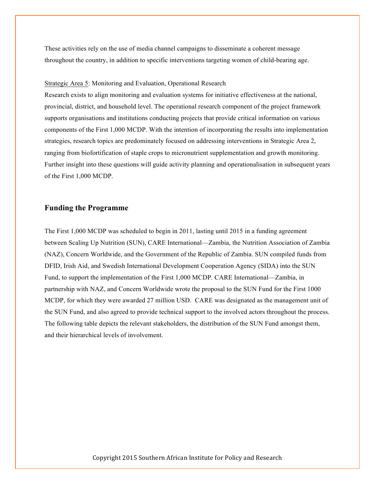These activities rely on the use of media channel campaigns to disseminate a coherent message throughout the country, in addition to specific interventions targeting women of child-bearing age.

#### Strategic Area 5: Monitoring and Evaluation, Operational Research

Research exists to align monitoring and evaluation systems for initiative effectiveness at the national, provincial, district, and household level. The operational research component of the project framework supports organisations and institutions conducting projects that provide critical information on various components of the First 1,000 MCDP. With the intention of incorporating the results into implementation strategies, research topics are predominately focused on addressing interventions in Strategic Area 2, ranging from biofortification of staple crops to micronutrient supplementation and growth monitoring. Further insight into these questions will guide activity planning and operationalisation in subsequent years of the First 1,000 MCDP.

#### **Funding the Programme**

The First 1,000 MCDP was scheduled to begin in 2011, lasting until 2015 in a funding agreement between Scaling Up Nutrition (SUN), CARE International—Zambia, the Nutrition Association of Zambia (NAZ), Concern Worldwide, and the Government of the Republic of Zambia. SUN compiled funds from DFID, Irish Aid, and Swedish International Development Cooperation Agency (SIDA) into the SUN Fund, to support the implementation of the First 1,000 MCDP. CARE International—Zambia, in partnership with NAZ, and Concern Worldwide wrote the proposal to the SUN Fund for the First 1000 MCDP, for which they were awarded 27 million USD. CARE was designated as the management unit of the SUN Fund, and also agreed to provide technical support to the involved actors throughout the process. The following table depicts the relevant stakeholders, the distribution of the SUN Fund amongst them, and their hierarchical levels of involvement.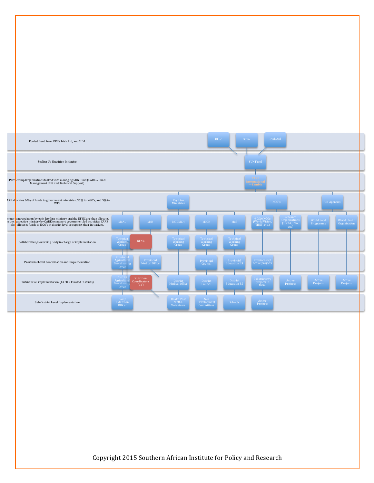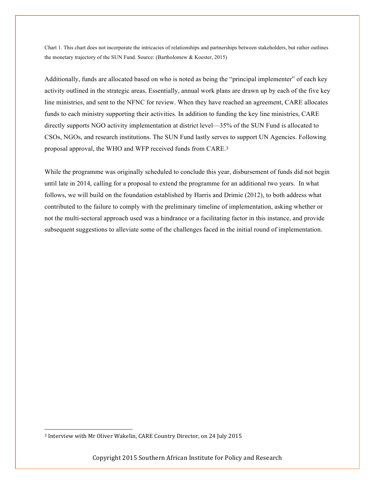Chart 1. This chart does not incorporate the intricacies of relationships and partnerships between stakeholders, but rather outlines the monetary trajectory of the SUN Fund. Source: (Bartholomew & Koester, 2015)

Additionally, funds are allocated based on who is noted as being the "principal implementer" of each key activity outlined in the strategic areas. Essentially, annual work plans are drawn up by each of the five key line ministries, and sent to the NFNC for review. When they have reached an agreement, CARE allocates funds to each ministry supporting their activities. In addition to funding the key line ministries, CARE directly supports NGO activity implementation at district level—35% of the SUN Fund is allocated to CSOs, NGOs, and research institutions. The SUN Fund lastly serves to support UN Agencies. Following proposal approval, the WHO and WFP received funds from CARE.<sup>3</sup>

While the programme was originally scheduled to conclude this year, disbursement of funds did not begin until late in 2014, calling for a proposal to extend the programme for an additional two years. In what follows, we will build on the foundation established by Harris and Drimie (2012), to both address what contributed to the failure to comply with the preliminary timeline of implementation, asking whether or not the multi-sectoral approach used was a hindrance or a facilitating factor in this instance, and provide subsequent suggestions to alleviate some of the challenges faced in the initial round of implementation.

 

<sup>&</sup>lt;sup>3</sup> Interview with Mr Oliver Wakelin, CARE Country Director, on 24 July 2015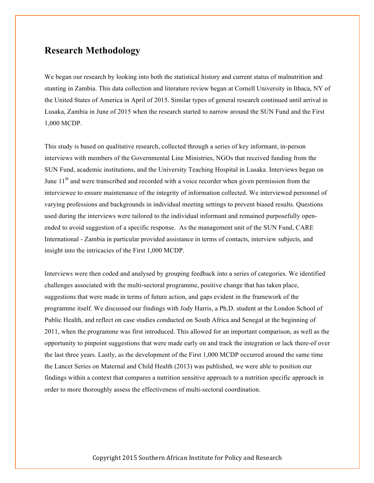## **Research Methodology**

We began our research by looking into both the statistical history and current status of malnutrition and stunting in Zambia. This data collection and literature review began at Cornell University in Ithaca, NY of the United States of America in April of 2015. Similar types of general research continued until arrival in Lusaka, Zambia in June of 2015 when the research started to narrow around the SUN Fund and the First 1,000 MCDP.

This study is based on qualitative research, collected through a series of key informant, in-person interviews with members of the Governmental Line Ministries, NGOs that received funding from the SUN Fund, academic institutions, and the University Teaching Hospital in Lusaka. Interviews began on June  $11<sup>th</sup>$  and were transcribed and recorded with a voice recorder when given permission from the interviewee to ensure maintenance of the integrity of information collected. We interviewed personnel of varying professions and backgrounds in individual meeting settings to prevent biased results. Questions used during the interviews were tailored to the individual informant and remained purposefully openended to avoid suggestion of a specific response. As the management unit of the SUN Fund, CARE International - Zambia in particular provided assistance in terms of contacts, interview subjects, and insight into the intricacies of the First 1,000 MCDP.

Interviews were then coded and analysed by grouping feedback into a series of categories. We identified challenges associated with the multi-sectoral programme, positive change that has taken place, suggestions that were made in terms of future action, and gaps evident in the framework of the programme itself. We discussed our findings with Jody Harris, a Ph.D. student at the London School of Public Health, and reflect on case studies conducted on South Africa and Senegal at the beginning of 2011, when the programme was first introduced. This allowed for an important comparison, as well as the opportunity to pinpoint suggestions that were made early on and track the integration or lack there-of over the last three years. Lastly, as the development of the First 1,000 MCDP occurred around the same time the Lancet Series on Maternal and Child Health (2013) was published, we were able to position our findings within a context that compares a nutrition sensitive approach to a nutrition specific approach in order to more thoroughly assess the effectiveness of multi-sectoral coordination.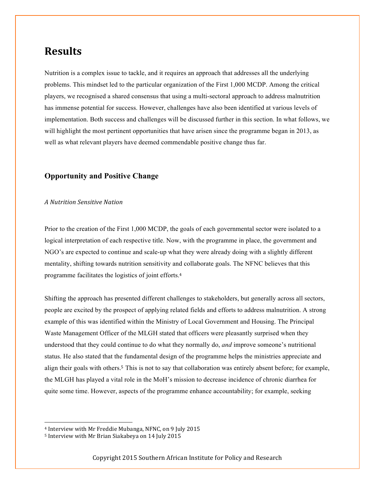## **Results**

Nutrition is a complex issue to tackle, and it requires an approach that addresses all the underlying problems. This mindset led to the particular organization of the First 1,000 MCDP. Among the critical players, we recognised a shared consensus that using a multi-sectoral approach to address malnutrition has immense potential for success. However, challenges have also been identified at various levels of implementation. Both success and challenges will be discussed further in this section. In what follows, we will highlight the most pertinent opportunities that have arisen since the programme began in 2013, as well as what relevant players have deemed commendable positive change thus far.

### **Opportunity and Positive Change**

#### *A Nutrition Sensitive Nation*

Prior to the creation of the First 1,000 MCDP, the goals of each governmental sector were isolated to a logical interpretation of each respective title. Now, with the programme in place, the government and NGO's are expected to continue and scale-up what they were already doing with a slightly different mentality, shifting towards nutrition sensitivity and collaborate goals. The NFNC believes that this programme facilitates the logistics of joint efforts.<sup>4</sup>

Shifting the approach has presented different challenges to stakeholders, but generally across all sectors, people are excited by the prospect of applying related fields and efforts to address malnutrition. A strong example of this was identified within the Ministry of Local Government and Housing. The Principal Waste Management Officer of the MLGH stated that officers were pleasantly surprised when they understood that they could continue to do what they normally do, *and* improve someone's nutritional status. He also stated that the fundamental design of the programme helps the ministries appreciate and align their goals with others.<sup>5</sup> This is not to say that collaboration was entirely absent before; for example, the MLGH has played a vital role in the MoH's mission to decrease incidence of chronic diarrhea for quite some time. However, aspects of the programme enhance accountability; for example, seeking

 

<sup>&</sup>lt;sup>4</sup> Interview with Mr Freddie Mubanga, NFNC, on 9 July 2015

<sup>&</sup>lt;sup>5</sup> Interview with Mr Brian Siakabeya on 14 July 2015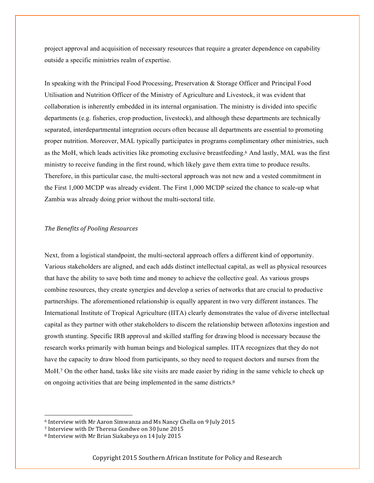project approval and acquisition of necessary resources that require a greater dependence on capability outside a specific ministries realm of expertise.

In speaking with the Principal Food Processing, Preservation & Storage Officer and Principal Food Utilisation and Nutrition Officer of the Ministry of Agriculture and Livestock, it was evident that collaboration is inherently embedded in its internal organisation. The ministry is divided into specific departments (e.g. fisheries, crop production, livestock), and although these departments are technically separated, interdepartmental integration occurs often because all departments are essential to promoting proper nutrition. Moreover, MAL typically participates in programs complimentary other ministries, such as the MoH, which leads activities like promoting exclusive breastfeeding.<sup>6</sup> And lastly, MAL was the first ministry to receive funding in the first round, which likely gave them extra time to produce results. Therefore, in this particular case, the multi-sectoral approach was not new and a vested commitment in the First 1,000 MCDP was already evident. The First 1,000 MCDP seized the chance to scale-up what Zambia was already doing prior without the multi-sectoral title.

#### *The Benefits of Pooling Resources*

Next, from a logistical standpoint, the multi-sectoral approach offers a different kind of opportunity. Various stakeholders are aligned, and each adds distinct intellectual capital, as well as physical resources that have the ability to save both time and money to achieve the collective goal. As various groups combine resources, they create synergies and develop a series of networks that are crucial to productive partnerships. The aforementioned relationship is equally apparent in two very different instances. The International Institute of Tropical Agriculture (IITA) clearly demonstrates the value of diverse intellectual capital as they partner with other stakeholders to discern the relationship between aflotoxins ingestion and growth stunting. Specific IRB approval and skilled staffing for drawing blood is necessary because the research works primarily with human beings and biological samples. IITA recognizes that they do not have the capacity to draw blood from participants, so they need to request doctors and nurses from the MoH.<sup>7</sup> On the other hand, tasks like site visits are made easier by riding in the same vehicle to check up on ongoing activities that are being implemented in the same districts.<sup>8</sup>

 

<sup>&</sup>lt;sup>6</sup> Interview with Mr Aaron Simwanza and Ms Nancy Chella on 9 July 2015

<sup>&</sup>lt;sup>7</sup> Interview with Dr Theresa Gondwe on 30 June 2015

<sup>&</sup>lt;sup>8</sup> Interview with Mr Brian Siakabeya on 14 July 2015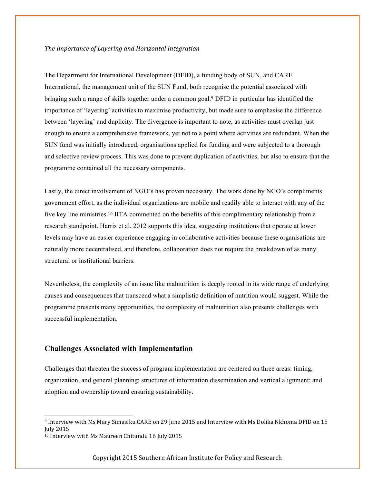#### The Importance of Layering and Horizontal Integration

The Department for International Development (DFID), a funding body of SUN, and CARE International, the management unit of the SUN Fund, both recognise the potential associated with bringing such a range of skills together under a common goal.<sup>9</sup> DFID in particular has identified the importance of 'layering' activities to maximise productivity, but made sure to emphasise the difference between 'layering' and duplicity. The divergence is important to note, as activities must overlap just enough to ensure a comprehensive framework, yet not to a point where activities are redundant. When the SUN fund was initially introduced, organisations applied for funding and were subjected to a thorough and selective review process. This was done to prevent duplication of activities, but also to ensure that the programme contained all the necessary components.

Lastly, the direct involvement of NGO's has proven necessary. The work done by NGO's compliments government effort, as the individual organizations are mobile and readily able to interact with any of the five key line ministries.<sup>10</sup> IITA commented on the benefits of this complimentary relationship from a research standpoint. Harris et al. 2012 supports this idea, suggesting institutions that operate at lower levels may have an easier experience engaging in collaborative activities because these organisations are naturally more decentralised, and therefore, collaboration does not require the breakdown of as many structural or institutional barriers.

Nevertheless, the complexity of an issue like malnutrition is deeply rooted in its wide range of underlying causes and consequences that transcend what a simplistic definition of nutrition would suggest. While the programme presents many opportunities, the complexity of malnutrition also presents challenges with successful implementation.

#### **Challenges Associated with Implementation**

Challenges that threaten the success of program implementation are centered on three areas: timing, organization, and general planning; structures of information dissemination and vertical alignment; and adoption and ownership toward ensuring sustainability.

 

<sup>9</sup> Interview with Ms Mary Simasiku CARE on 29 June 2015 and Interview with Ms Dolika Nkhoma DFID on 15 July 2015 

<sup>&</sup>lt;sup>10</sup> Interview with Ms Maureen Chitundu 16 July 2015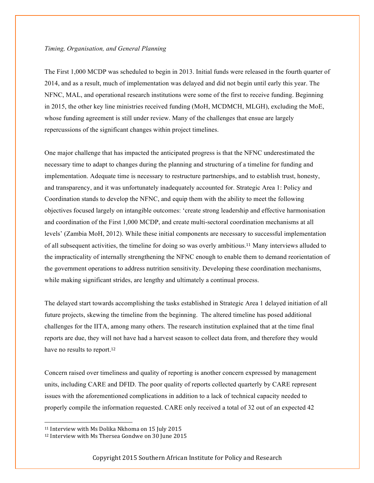#### *Timing, Organisation, and General Planning*

The First 1,000 MCDP was scheduled to begin in 2013. Initial funds were released in the fourth quarter of 2014, and as a result, much of implementation was delayed and did not begin until early this year. The NFNC, MAL, and operational research institutions were some of the first to receive funding. Beginning in 2015, the other key line ministries received funding (MoH, MCDMCH, MLGH), excluding the MoE, whose funding agreement is still under review. Many of the challenges that ensue are largely repercussions of the significant changes within project timelines.

One major challenge that has impacted the anticipated progress is that the NFNC underestimated the necessary time to adapt to changes during the planning and structuring of a timeline for funding and implementation. Adequate time is necessary to restructure partnerships, and to establish trust, honesty, and transparency, and it was unfortunately inadequately accounted for. Strategic Area 1: Policy and Coordination stands to develop the NFNC, and equip them with the ability to meet the following objectives focused largely on intangible outcomes: 'create strong leadership and effective harmonisation and coordination of the First 1,000 MCDP, and create multi-sectoral coordination mechanisms at all levels' (Zambia MoH, 2012). While these initial components are necessary to successful implementation of all subsequent activities, the timeline for doing so was overly ambitious.<sup>11</sup> Many interviews alluded to the impracticality of internally strengthening the NFNC enough to enable them to demand reorientation of the government operations to address nutrition sensitivity. Developing these coordination mechanisms, while making significant strides, are lengthy and ultimately a continual process.

The delayed start towards accomplishing the tasks established in Strategic Area 1 delayed initiation of all future projects, skewing the timeline from the beginning. The altered timeline has posed additional challenges for the IITA, among many others. The research institution explained that at the time final reports are due, they will not have had a harvest season to collect data from, and therefore they would have no results to report.<sup>12</sup>

Concern raised over timeliness and quality of reporting is another concern expressed by management units, including CARE and DFID. The poor quality of reports collected quarterly by CARE represent issues with the aforementioned complications in addition to a lack of technical capacity needed to properly compile the information requested. CARE only received a total of 32 out of an expected 42

 

 $11$  Interview with Ms Dolika Nkhoma on 15 July 2015

<sup>&</sup>lt;sup>12</sup> Interview with Ms Thersea Gondwe on 30 June 2015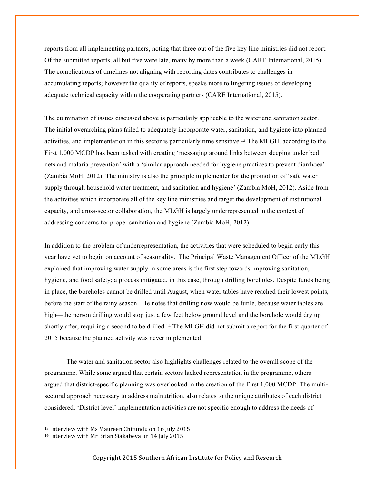reports from all implementing partners, noting that three out of the five key line ministries did not report. Of the submitted reports, all but five were late, many by more than a week (CARE International, 2015). The complications of timelines not aligning with reporting dates contributes to challenges in accumulating reports; however the quality of reports, speaks more to lingering issues of developing adequate technical capacity within the cooperating partners (CARE International, 2015).

The culmination of issues discussed above is particularly applicable to the water and sanitation sector. The initial overarching plans failed to adequately incorporate water, sanitation, and hygiene into planned activities, and implementation in this sector is particularly time sensitive.<sup>13</sup> The MLGH, according to the First 1,000 MCDP has been tasked with creating 'messaging around links between sleeping under bed nets and malaria prevention' with a 'similar approach needed for hygiene practices to prevent diarrhoea' (Zambia MoH, 2012). The ministry is also the principle implementer for the promotion of 'safe water supply through household water treatment, and sanitation and hygiene' (Zambia MoH, 2012). Aside from the activities which incorporate all of the key line ministries and target the development of institutional capacity, and cross-sector collaboration, the MLGH is largely underrepresented in the context of addressing concerns for proper sanitation and hygiene (Zambia MoH, 2012).

In addition to the problem of underrepresentation, the activities that were scheduled to begin early this year have yet to begin on account of seasonality. The Principal Waste Management Officer of the MLGH explained that improving water supply in some areas is the first step towards improving sanitation, hygiene, and food safety; a process mitigated, in this case, through drilling boreholes. Despite funds being in place, the boreholes cannot be drilled until August, when water tables have reached their lowest points, before the start of the rainy season. He notes that drilling now would be futile, because water tables are high—the person drilling would stop just a few feet below ground level and the borehole would dry up shortly after, requiring a second to be drilled.<sup>14</sup> The MLGH did not submit a report for the first quarter of 2015 because the planned activity was never implemented.

The water and sanitation sector also highlights challenges related to the overall scope of the programme. While some argued that certain sectors lacked representation in the programme, others argued that district-specific planning was overlooked in the creation of the First 1,000 MCDP. The multisectoral approach necessary to address malnutrition, also relates to the unique attributes of each district considered. 'District level' implementation activities are not specific enough to address the needs of

 

<sup>&</sup>lt;sup>13</sup> Interview with Ms Maureen Chitundu on 16 July 2015

<sup>&</sup>lt;sup>14</sup> Interview with Mr Brian Siakabeya on 14 July 2015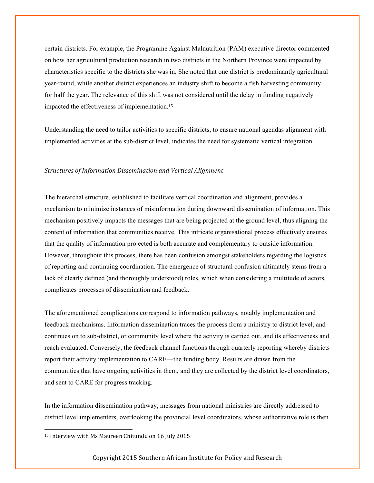certain districts. For example, the Programme Against Malnutrition (PAM) executive director commented on how her agricultural production research in two districts in the Northern Province were impacted by characteristics specific to the districts she was in. She noted that one district is predominantly agricultural year-round, while another district experiences an industry shift to become a fish harvesting community for half the year. The relevance of this shift was not considered until the delay in funding negatively impacted the effectiveness of implementation.<sup>15</sup>

Understanding the need to tailor activities to specific districts, to ensure national agendas alignment with implemented activities at the sub-district level, indicates the need for systematic vertical integration.

#### **Structures of Information Dissemination and Vertical Alignment**

The hierarchal structure, established to facilitate vertical coordination and alignment, provides a mechanism to minimize instances of misinformation during downward dissemination of information. This mechanism positively impacts the messages that are being projected at the ground level, thus aligning the content of information that communities receive. This intricate organisational process effectively ensures that the quality of information projected is both accurate and complementary to outside information. However, throughout this process, there has been confusion amongst stakeholders regarding the logistics of reporting and continuing coordination. The emergence of structural confusion ultimately stems from a lack of clearly defined (and thoroughly understood) roles, which when considering a multitude of actors, complicates processes of dissemination and feedback.

The aforementioned complications correspond to information pathways, notably implementation and feedback mechanisms. Information dissemination traces the process from a ministry to district level, and continues on to sub-district, or community level where the activity is carried out, and its effectiveness and reach evaluated. Conversely, the feedback channel functions through quarterly reporting whereby districts report their activity implementation to CARE—the funding body. Results are drawn from the communities that have ongoing activities in them, and they are collected by the district level coordinators, and sent to CARE for progress tracking.

In the information dissemination pathway, messages from national ministries are directly addressed to district level implementers, overlooking the provincial level coordinators, whose authoritative role is then

 

<sup>&</sup>lt;sup>15</sup> Interview with Ms Maureen Chitundu on 16 July 2015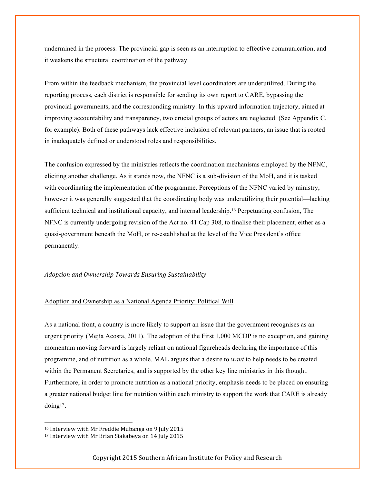undermined in the process. The provincial gap is seen as an interruption to effective communication, and it weakens the structural coordination of the pathway.

From within the feedback mechanism, the provincial level coordinators are underutilized. During the reporting process, each district is responsible for sending its own report to CARE, bypassing the provincial governments, and the corresponding ministry. In this upward information trajectory, aimed at improving accountability and transparency, two crucial groups of actors are neglected. (See Appendix C. for example). Both of these pathways lack effective inclusion of relevant partners, an issue that is rooted in inadequately defined or understood roles and responsibilities.

The confusion expressed by the ministries reflects the coordination mechanisms employed by the NFNC, eliciting another challenge. As it stands now, the NFNC is a sub-division of the MoH, and it is tasked with coordinating the implementation of the programme. Perceptions of the NFNC varied by ministry, however it was generally suggested that the coordinating body was underutilizing their potential—lacking sufficient technical and institutional capacity, and internal leadership.<sup>16</sup> Perpetuating confusion, The NFNC is currently undergoing revision of the Act no. 41 Cap 308, to finalise their placement, either as a quasi-government beneath the MoH, or re-established at the level of the Vice President's office permanently.

#### *Adoption and Ownership Towards Ensuring Sustainability*

#### Adoption and Ownership as a National Agenda Priority: Political Will

As a national front, a country is more likely to support an issue that the government recognises as an urgent priority (Mejía Acosta, 2011). The adoption of the First 1,000 MCDP is no exception, and gaining momentum moving forward is largely reliant on national figureheads declaring the importance of this programme, and of nutrition as a whole. MAL argues that a desire to *want* to help needs to be created within the Permanent Secretaries, and is supported by the other key line ministries in this thought. Furthermore, in order to promote nutrition as a national priority, emphasis needs to be placed on ensuring a greater national budget line for nutrition within each ministry to support the work that CARE is already doing17.

 

<sup>&</sup>lt;sup>16</sup> Interview with Mr Freddie Mubanga on 9 July 2015

<sup>&</sup>lt;sup>17</sup> Interview with Mr Brian Siakabeya on 14 July 2015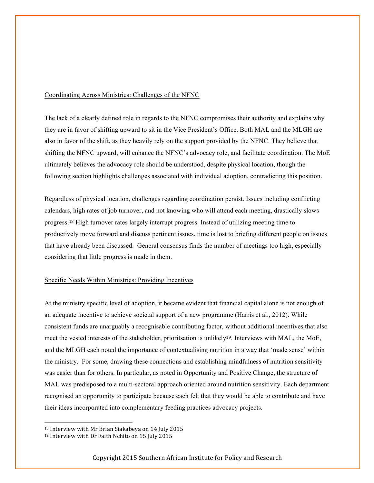#### Coordinating Across Ministries: Challenges of the NFNC

The lack of a clearly defined role in regards to the NFNC compromises their authority and explains why they are in favor of shifting upward to sit in the Vice President's Office. Both MAL and the MLGH are also in favor of the shift, as they heavily rely on the support provided by the NFNC. They believe that shifting the NFNC upward, will enhance the NFNC's advocacy role, and facilitate coordination. The MoE ultimately believes the advocacy role should be understood, despite physical location, though the following section highlights challenges associated with individual adoption, contradicting this position.

Regardless of physical location, challenges regarding coordination persist. Issues including conflicting calendars, high rates of job turnover, and not knowing who will attend each meeting, drastically slows progress.<sup>18</sup> High turnover rates largely interrupt progress. Instead of utilizing meeting time to productively move forward and discuss pertinent issues, time is lost to briefing different people on issues that have already been discussed. General consensus finds the number of meetings too high, especially considering that little progress is made in them.

#### Specific Needs Within Ministries: Providing Incentives

At the ministry specific level of adoption, it became evident that financial capital alone is not enough of an adequate incentive to achieve societal support of a new programme (Harris et al., 2012). While consistent funds are unarguably a recognisable contributing factor, without additional incentives that also meet the vested interests of the stakeholder, prioritsation is unlikely19. Interviews with MAL, the MoE, and the MLGH each noted the importance of contextualising nutrition in a way that 'made sense' within the ministry. For some, drawing these connections and establishing mindfulness of nutrition sensitivity was easier than for others. In particular, as noted in Opportunity and Positive Change, the structure of MAL was predisposed to a multi-sectoral approach oriented around nutrition sensitivity. Each department recognised an opportunity to participate because each felt that they would be able to contribute and have their ideas incorporated into complementary feeding practices advocacy projects.

 

<sup>&</sup>lt;sup>18</sup> Interview with Mr Brian Siakabeya on 14 July 2015

<sup>&</sup>lt;sup>19</sup> Interview with Dr Faith Nchito on 15 July 2015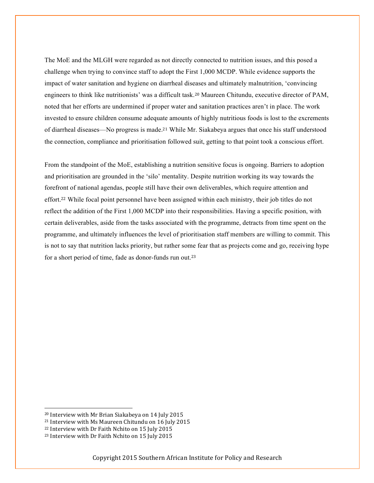The MoE and the MLGH were regarded as not directly connected to nutrition issues, and this posed a challenge when trying to convince staff to adopt the First 1,000 MCDP. While evidence supports the impact of water sanitation and hygiene on diarrheal diseases and ultimately malnutrition, 'convincing engineers to think like nutritionists' was a difficult task.<sup>20</sup> Maureen Chitundu, executive director of PAM, noted that her efforts are undermined if proper water and sanitation practices aren't in place. The work invested to ensure children consume adequate amounts of highly nutritious foods is lost to the excrements of diarrheal diseases—No progress is made.<sup>21</sup> While Mr. Siakabeya argues that once his staff understood the connection, compliance and prioritisation followed suit, getting to that point took a conscious effort.

From the standpoint of the MoE, establishing a nutrition sensitive focus is ongoing. Barriers to adoption and prioritisation are grounded in the 'silo' mentality. Despite nutrition working its way towards the forefront of national agendas, people still have their own deliverables, which require attention and effort.<sup>22</sup> While focal point personnel have been assigned within each ministry, their job titles do not reflect the addition of the First 1,000 MCDP into their responsibilities. Having a specific position, with certain deliverables, aside from the tasks associated with the programme, detracts from time spent on the programme, and ultimately influences the level of prioritisation staff members are willing to commit. This is not to say that nutrition lacks priority, but rather some fear that as projects come and go, receiving hype for a short period of time, fade as donor-funds run out.<sup>23</sup>

<u> Andreas Andreas Andreas Andreas Andreas Andreas Andreas Andreas Andreas Andreas Andreas Andreas Andreas Andreas</u>

<sup>&</sup>lt;sup>20</sup> Interview with Mr Brian Siakabeya on 14 July 2015

<sup>&</sup>lt;sup>21</sup> Interview with Ms Maureen Chitundu on 16 July 2015

<sup>&</sup>lt;sup>22</sup> Interview with Dr Faith Nchito on 15 July 2015

<sup>&</sup>lt;sup>23</sup> Interview with Dr Faith Nchito on 15 July 2015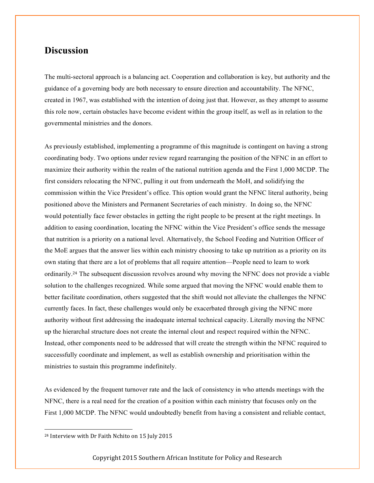## **Discussion**

The multi-sectoral approach is a balancing act. Cooperation and collaboration is key, but authority and the guidance of a governing body are both necessary to ensure direction and accountability. The NFNC, created in 1967, was established with the intention of doing just that. However, as they attempt to assume this role now, certain obstacles have become evident within the group itself, as well as in relation to the governmental ministries and the donors.

As previously established, implementing a programme of this magnitude is contingent on having a strong coordinating body. Two options under review regard rearranging the position of the NFNC in an effort to maximize their authority within the realm of the national nutrition agenda and the First 1,000 MCDP. The first considers relocating the NFNC, pulling it out from underneath the MoH, and solidifying the commission within the Vice President's office. This option would grant the NFNC literal authority, being positioned above the Ministers and Permanent Secretaries of each ministry. In doing so, the NFNC would potentially face fewer obstacles in getting the right people to be present at the right meetings. In addition to easing coordination, locating the NFNC within the Vice President's office sends the message that nutrition is a priority on a national level. Alternatively, the School Feeding and Nutrition Officer of the MoE argues that the answer lies within each ministry choosing to take up nutrition as a priority on its own stating that there are a lot of problems that all require attention—People need to learn to work ordinarily.<sup>24</sup> The subsequent discussion revolves around why moving the NFNC does not provide a viable solution to the challenges recognized. While some argued that moving the NFNC would enable them to better facilitate coordination, others suggested that the shift would not alleviate the challenges the NFNC currently faces. In fact, these challenges would only be exacerbated through giving the NFNC more authority without first addressing the inadequate internal technical capacity. Literally moving the NFNC up the hierarchal structure does not create the internal clout and respect required within the NFNC. Instead, other components need to be addressed that will create the strength within the NFNC required to successfully coordinate and implement, as well as establish ownership and prioritisation within the ministries to sustain this programme indefinitely.

As evidenced by the frequent turnover rate and the lack of consistency in who attends meetings with the NFNC, there is a real need for the creation of a position within each ministry that focuses only on the First 1,000 MCDP. The NFNC would undoubtedly benefit from having a consistent and reliable contact,

 

<sup>&</sup>lt;sup>24</sup> Interview with Dr Faith Nchito on 15 July 2015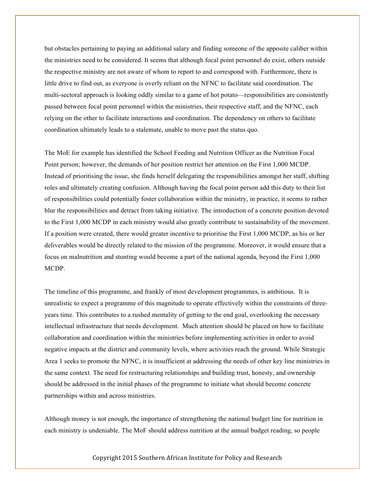but obstacles pertaining to paying an additional salary and finding someone of the apposite caliber within the ministries need to be considered. It seems that although focal point personnel do exist, others outside the respective ministry are not aware of whom to report to and correspond with. Furthermore, there is little drive to find out, as everyone is overly reliant on the NFNC to facilitate said coordination. The multi-sectoral approach is looking oddly similar to a game of hot potato—responsibilities are consistently passed between focal point personnel within the ministries, their respective staff, and the NFNC, each relying on the other to facilitate interactions and coordination. The dependency on others to facilitate coordination ultimately leads to a stalemate, unable to move past the status quo.

The MoE for example has identified the School Feeding and Nutrition Officer as the Nutrition Focal Point person; however, the demands of her position restrict her attention on the First 1,000 MCDP. Instead of prioritising the issue, she finds herself delegating the responsibilities amongst her staff, shifting roles and ultimately creating confusion. Although having the focal point person add this duty to their list of responsibilities could potentially foster collaboration within the ministry, in practice, it seems to rather blur the responsibilities and detract from taking initiative. The introduction of a concrete position devoted to the First 1,000 MCDP in each ministry would also greatly contribute to sustainability of the movement. If a position were created, there would greater incentive to prioritise the First 1,000 MCDP, as his or her deliverables would be directly related to the mission of the programme. Moreover, it would ensure that a focus on malnutrition and stunting would become a part of the national agenda, beyond the First 1,000 MCDP.

The timeline of this programme, and frankly of most development programmes, is ambitious. It is unrealistic to expect a programme of this magnitude to operate effectively within the constraints of threeyears time. This contributes to a rushed mentality of getting to the end goal, overlooking the necessary intellectual infrastructure that needs development. Much attention should be placed on how to facilitate collaboration and coordination within the ministries before implementing activities in order to avoid negative impacts at the district and community levels, where activities reach the ground. While Strategic Area 1 seeks to promote the NFNC, it is insufficient at addressing the needs of other key line ministries in the same context. The need for restructuring relationships and building trust, honesty, and ownership should be addressed in the initial phases of the programme to initiate what should become concrete partnerships within and across ministries.

Although money is not enough, the importance of strengthening the national budget line for nutrition in each ministry is undeniable. The MoF should address nutrition at the annual budget reading, so people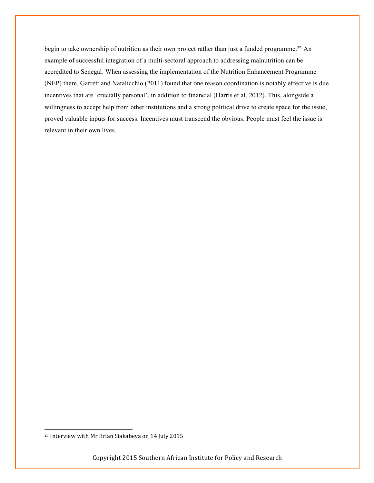begin to take ownership of nutrition as their own project rather than just a funded programme.<sup>25</sup> An example of successful integration of a multi-sectoral approach to addressing malnutrition can be accredited to Senegal. When assessing the implementation of the Nutrition Enhancement Programme (NEP) there, Garrett and Natalicchio (2011) found that one reason coordination is notably effective is due incentives that are 'crucially personal', in addition to financial (Harris et al. 2012). This, alongside a willingness to accept help from other institutions and a strong political drive to create space for the issue, proved valuable inputs for success. Incentives must transcend the obvious. People must feel the issue is relevant in their own lives.

 

<sup>&</sup>lt;sup>25</sup> Interview with Mr Brian Siakabeya on 14 July 2015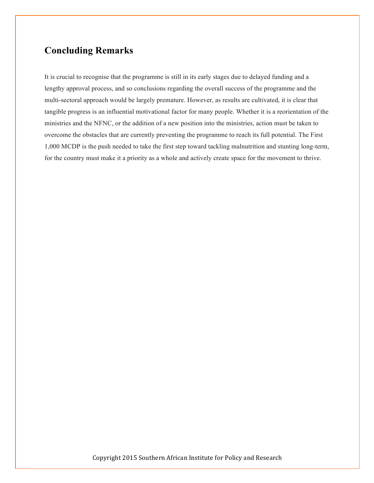## **Concluding Remarks**

It is crucial to recognise that the programme is still in its early stages due to delayed funding and a lengthy approval process, and so conclusions regarding the overall success of the programme and the multi-sectoral approach would be largely premature. However, as results are cultivated, it is clear that tangible progress is an influential motivational factor for many people. Whether it is a reorientation of the ministries and the NFNC, or the addition of a new position into the ministries, action must be taken to overcome the obstacles that are currently preventing the programme to reach its full potential. The First 1,000 MCDP is the push needed to take the first step toward tackling malnutrition and stunting long-term, for the country must make it a priority as a whole and actively create space for the movement to thrive.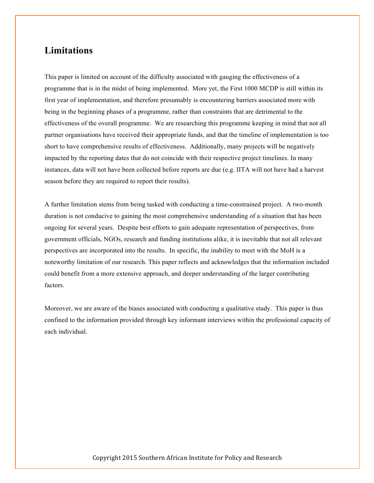## **Limitations**

This paper is limited on account of the difficulty associated with gauging the effectiveness of a programme that is in the midst of being implemented. More yet, the First 1000 MCDP is still within its first year of implementation, and therefore presumably is encountering barriers associated more with being in the beginning phases of a programme, rather than constraints that are detrimental to the effectiveness of the overall programme. We are researching this programme keeping in mind that not all partner organisations have received their appropriate funds, and that the timeline of implementation is too short to have comprehensive results of effectiveness. Additionally, many projects will be negatively impacted by the reporting dates that do not coincide with their respective project timelines. In many instances, data will not have been collected before reports are due (e.g. IITA will not have had a harvest season before they are required to report their results).

A further limitation stems from being tasked with conducting a time-constrained project. A two-month duration is not conducive to gaining the most comprehensive understanding of a situation that has been ongoing for several years. Despite best efforts to gain adequate representation of perspectives, from government officials, NGOs, research and funding institutions alike, it is inevitable that not all relevant perspectives are incorporated into the results. In specific, the inability to meet with the MoH is a noteworthy limitation of our research. This paper reflects and acknowledges that the information included could benefit from a more extensive approach, and deeper understanding of the larger contributing factors.

Moreover, we are aware of the biases associated with conducting a qualitative study. This paper is thus confined to the information provided through key informant interviews within the professional capacity of each individual.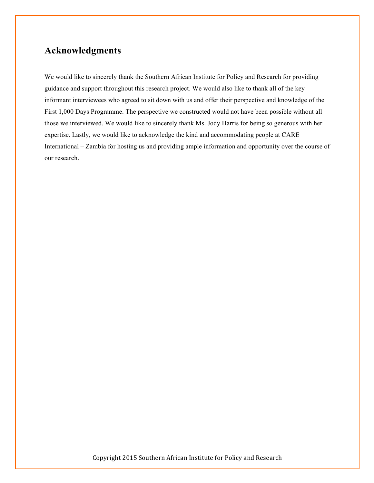## **Acknowledgments**

We would like to sincerely thank the Southern African Institute for Policy and Research for providing guidance and support throughout this research project. We would also like to thank all of the key informant interviewees who agreed to sit down with us and offer their perspective and knowledge of the First 1,000 Days Programme. The perspective we constructed would not have been possible without all those we interviewed. We would like to sincerely thank Ms. Jody Harris for being so generous with her expertise. Lastly, we would like to acknowledge the kind and accommodating people at CARE International – Zambia for hosting us and providing ample information and opportunity over the course of our research.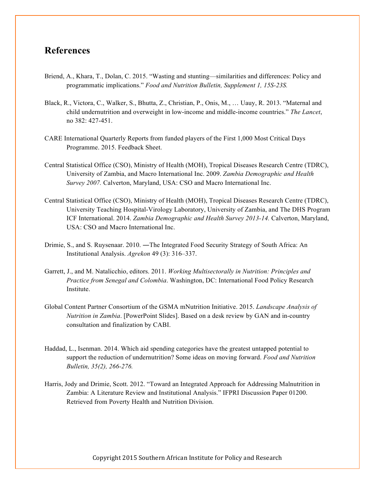### **References**

- Briend, A., Khara, T., Dolan, C. 2015. "Wasting and stunting—similarities and differences: Policy and programmatic implications." *Food and Nutrition Bulletin, Supplement 1, 15S-23S.*
- Black, R., Victora, C., Walker, S., Bhutta, Z., Christian, P., Onis, M., … Uauy, R. 2013. "Maternal and child undernutrition and overweight in low-income and middle-income countries." *The Lancet*, no 382: 427-451.
- CARE International Quarterly Reports from funded players of the First 1,000 Most Critical Days Programme. 2015. Feedback Sheet.
- Central Statistical Office (CSO), Ministry of Health (MOH), Tropical Diseases Research Centre (TDRC), University of Zambia, and Macro International Inc. 2009. *Zambia Demographic and Health Survey 2007.* Calverton, Maryland, USA: CSO and Macro International Inc.
- Central Statistical Office (CSO), Ministry of Health (MOH), Tropical Diseases Research Centre (TDRC), University Teaching Hospital-Virology Laboratory, University of Zambia, and The DHS Program ICF International. 2014. *Zambia Demographic and Health Survey 2013-14.* Calverton, Maryland, USA: CSO and Macro International Inc.
- Drimie, S., and S. Ruysenaar. 2010. ―The Integrated Food Security Strategy of South Africa: An Institutional Analysis. *Agrekon* 49 (3): 316–337.
- Garrett, J., and M. Natalicchio, editors. 2011. *Working Multisectorally in Nutrition: Principles and Practice from Senegal and Colombia*. Washington, DC: International Food Policy Research Institute.
- Global Content Partner Consortium of the GSMA mNutrition Initiative. 2015. *Landscape Analysis of Nutrition in Zambia*. [PowerPoint Slides]. Based on a desk review by GAN and in-country consultation and finalization by CABI.
- Haddad, L., Isenman. 2014. Which aid spending categories have the greatest untapped potential to support the reduction of undernutrition? Some ideas on moving forward. *Food and Nutrition Bulletin, 35(2), 266-276.*
- Harris, Jody and Drimie, Scott. 2012. "Toward an Integrated Approach for Addressing Malnutrition in Zambia: A Literature Review and Institutional Analysis." IFPRI Discussion Paper 01200. Retrieved from Poverty Health and Nutrition Division.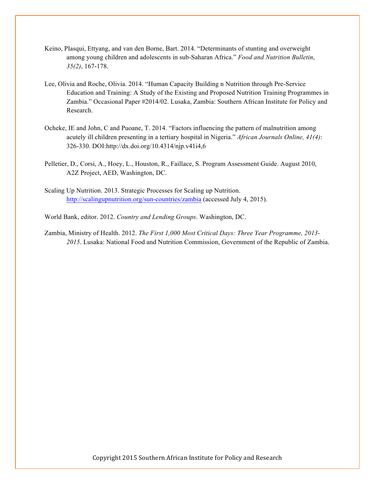- Keino, Plasqui, Ettyang, and van den Borne, Bart. 2014. "Determinants of stunting and overweight among young children and adolescents in sub-Saharan Africa." *Food and Nutrition Bulletin*, *35(2)*, 167-178.
- Lee, Olivia and Roche, Olivia. 2014. "Human Capacity Building n Nutrition through Pre-Service Education and Training: A Study of the Existing and Proposed Nutrition Training Programmes in Zambia." Occasional Paper #2014/02. Lusaka, Zambia: Southern African Institute for Policy and Research.
- Ocheke, IE and John, C and Puoane, T. 2014. "Factors influencing the pattern of malnutrition among acutely ill children presenting in a tertiary hospital in Nigeria." *African Journals Online, 41(4)*: 326-330. DOI:http://dx.doi.org/10.4314/njp.v41i4,6
- Pelletier, D., Corsi, A., Hoey, L., Houston, R., Faillace, S. Program Assessment Guide. August 2010, A2Z Project, AED, Washington, DC.
- Scaling Up Nutrition. 2013. Strategic Processes for Scaling up Nutrition. http://scalingupnutrition.org/sun-countries/zambia (accessed July 4, 2015).
- World Bank, editor. 2012. *Country and Lending Groups*. Washington, DC.
- Zambia, Ministry of Health. 2012. *The First 1,000 Most Critical Days: Three Year Programme, 2013- 2015*. Lusaka: National Food and Nutrition Commission, Government of the Republic of Zambia.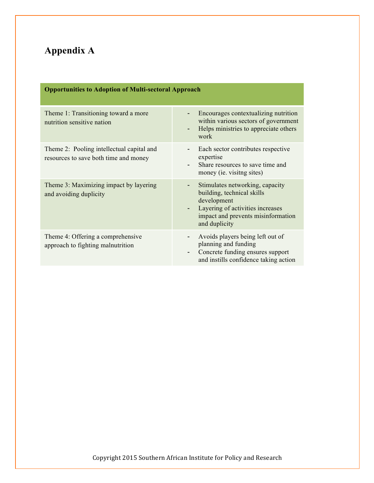# **Appendix A**

| <b>Opportunities to Adoption of Multi-sectoral Approach</b>                        |                                                                                                                                                                         |  |
|------------------------------------------------------------------------------------|-------------------------------------------------------------------------------------------------------------------------------------------------------------------------|--|
| Theme 1: Transitioning toward a more<br>nutrition sensitive nation                 | Encourages contextualizing nutrition<br>within various sectors of government<br>Helps ministries to appreciate others<br>work                                           |  |
| Theme 2: Pooling intellectual capital and<br>resources to save both time and money | Each sector contributes respective<br>expertise<br>Share resources to save time and<br>money (ie. visitng sites)                                                        |  |
| Theme 3: Maximizing impact by layering<br>and avoiding duplicity                   | Stimulates networking, capacity<br>building, technical skills<br>development<br>Layering of activities increases<br>impact and prevents misinformation<br>and duplicity |  |
| Theme 4: Offering a comprehensive<br>approach to fighting malnutrition             | Avoids players being left out of<br>planning and funding<br>Concrete funding ensures support<br>and instills confidence taking action                                   |  |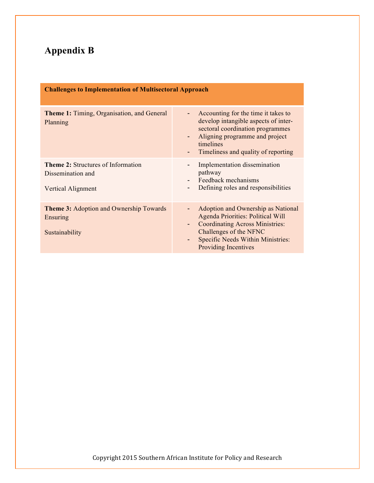# **Appendix B**

| <b>Challenges to Implementation of Multisectoral Approach</b>                        |                                                                                                                                                                                                                      |  |  |
|--------------------------------------------------------------------------------------|----------------------------------------------------------------------------------------------------------------------------------------------------------------------------------------------------------------------|--|--|
| <b>Theme 1:</b> Timing, Organisation, and General<br>Planning                        | Accounting for the time it takes to<br>develop intangible aspects of inter-<br>sectoral coordination programmes<br>Aligning programme and project<br>timelines<br>Timeliness and quality of reporting                |  |  |
| <b>Theme 2: Structures of Information</b><br>Dissemination and<br>Vertical Alignment | Implementation dissemination<br>pathway<br>Feedback mechanisms<br>$\overline{\phantom{0}}$<br>Defining roles and responsibilities<br>$\overline{\phantom{a}}$                                                        |  |  |
| <b>Theme 3: Adoption and Ownership Towards</b><br>Ensuring<br>Sustainability         | Adoption and Ownership as National<br>Agenda Priorities: Political Will<br><b>Coordinating Across Ministries:</b><br>٠<br>Challenges of the NFNC<br>Specific Needs Within Ministries:<br><b>Providing Incentives</b> |  |  |